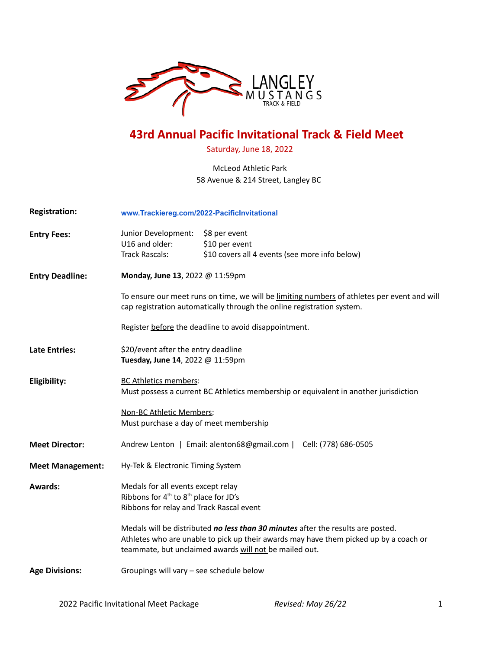

## **43rd Annual Pacific Invitational Track & Field Meet**

Saturday, June 18, 2022

#### McLeod Athletic Park 58 Avenue & 214 Street, Langley BC

| <b>Registration:</b>    | www.Trackiereg.com/2022-PacificInvitational                                                                                                                                                                                         |                                                                                   |  |  |  |
|-------------------------|-------------------------------------------------------------------------------------------------------------------------------------------------------------------------------------------------------------------------------------|-----------------------------------------------------------------------------------|--|--|--|
| <b>Entry Fees:</b>      | Junior Development:<br>U16 and older:<br><b>Track Rascals:</b>                                                                                                                                                                      | \$8 per event<br>\$10 per event<br>\$10 covers all 4 events (see more info below) |  |  |  |
| <b>Entry Deadline:</b>  | Monday, June 13, 2022 @ 11:59pm                                                                                                                                                                                                     |                                                                                   |  |  |  |
|                         | To ensure our meet runs on time, we will be limiting numbers of athletes per event and will<br>cap registration automatically through the online registration system.                                                               |                                                                                   |  |  |  |
|                         | Register before the deadline to avoid disappointment.                                                                                                                                                                               |                                                                                   |  |  |  |
| <b>Late Entries:</b>    | \$20/event after the entry deadline<br>Tuesday, June 14, 2022 @ 11:59pm                                                                                                                                                             |                                                                                   |  |  |  |
| Eligibility:            | <b>BC Athletics members:</b><br>Must possess a current BC Athletics membership or equivalent in another jurisdiction                                                                                                                |                                                                                   |  |  |  |
|                         | Non-BC Athletic Members:<br>Must purchase a day of meet membership                                                                                                                                                                  |                                                                                   |  |  |  |
| <b>Meet Director:</b>   | Andrew Lenton   Email: alenton68@gmail.com   Cell: (778) 686-0505                                                                                                                                                                   |                                                                                   |  |  |  |
| <b>Meet Management:</b> | Hy-Tek & Electronic Timing System                                                                                                                                                                                                   |                                                                                   |  |  |  |
| <b>Awards:</b>          | Medals for all events except relay<br>Ribbons for 4 <sup>th</sup> to 8 <sup>th</sup> place for JD's<br>Ribbons for relay and Track Rascal event                                                                                     |                                                                                   |  |  |  |
|                         | Medals will be distributed no less than 30 minutes after the results are posted.<br>Athletes who are unable to pick up their awards may have them picked up by a coach or<br>teammate, but unclaimed awards will not be mailed out. |                                                                                   |  |  |  |
| <b>Age Divisions:</b>   | Groupings will vary - see schedule below                                                                                                                                                                                            |                                                                                   |  |  |  |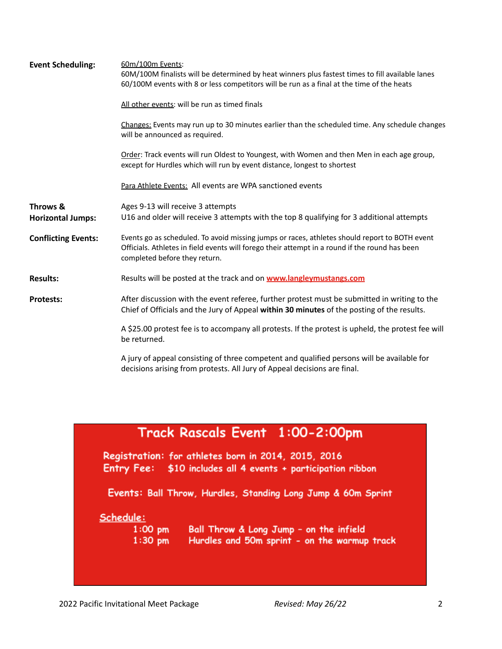| <b>Event Scheduling:</b>             | 60m/100m Events:<br>60M/100M finalists will be determined by heat winners plus fastest times to fill available lanes<br>60/100M events with 8 or less competitors will be run as a final at the time of the heats                |  |  |  |  |
|--------------------------------------|----------------------------------------------------------------------------------------------------------------------------------------------------------------------------------------------------------------------------------|--|--|--|--|
|                                      | All other events: will be run as timed finals                                                                                                                                                                                    |  |  |  |  |
|                                      | Changes: Events may run up to 30 minutes earlier than the scheduled time. Any schedule changes<br>will be announced as required.                                                                                                 |  |  |  |  |
|                                      | Order: Track events will run Oldest to Youngest, with Women and then Men in each age group,<br>except for Hurdles which will run by event distance, longest to shortest                                                          |  |  |  |  |
|                                      | Para Athlete Events: All events are WPA sanctioned events                                                                                                                                                                        |  |  |  |  |
| Throws &<br><b>Horizontal Jumps:</b> | Ages 9-13 will receive 3 attempts<br>U16 and older will receive 3 attempts with the top 8 qualifying for 3 additional attempts                                                                                                   |  |  |  |  |
| <b>Conflicting Events:</b>           | Events go as scheduled. To avoid missing jumps or races, athletes should report to BOTH event<br>Officials. Athletes in field events will forego their attempt in a round if the round has been<br>completed before they return. |  |  |  |  |
| <b>Results:</b>                      | Results will be posted at the track and on <b>www.langleymustangs.com</b>                                                                                                                                                        |  |  |  |  |
| <b>Protests:</b>                     | After discussion with the event referee, further protest must be submitted in writing to the<br>Chief of Officials and the Jury of Appeal within 30 minutes of the posting of the results.                                       |  |  |  |  |
|                                      | A \$25.00 protest fee is to accompany all protests. If the protest is upheld, the protest fee will<br>be returned.                                                                                                               |  |  |  |  |
|                                      | A jury of appeal consisting of three competent and qualified persons will be available for<br>decisions arising from protests. All Jury of Appeal decisions are final.                                                           |  |  |  |  |

| Track Rascals Event 1:00-2:00pm |  |
|---------------------------------|--|
|---------------------------------|--|

Registration: for athletes born in 2014, 2015, 2016 Entry Fee: \$10 includes all 4 events + participation ribbon

Events: Ball Throw, Hurdles, Standing Long Jump & 60m Sprint

#### Schedule:

 $1:00 \text{ pm}$  $1:30$  pm Ball Throw & Long Jump - on the infield Hurdles and 50m sprint - on the warmup track